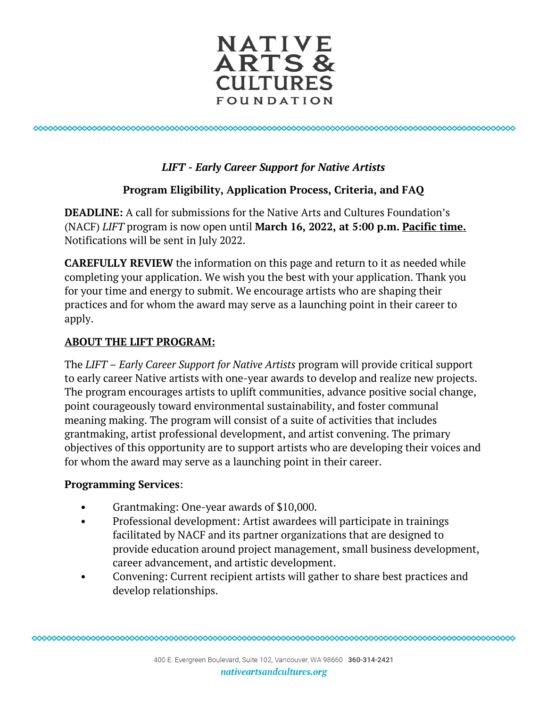

0000000000000000000000000000000000000 

## *LIFT - Early Career Support for Native Artists*

## **Program Eligibility, Application Process, Criteria, and FAQ**

**DEADLINE:** A call for submissions for the Native Arts and Cultures Foundation's (NACF) *LIFT* program is now open until **March 16, 2022, at 5:00 p.m. Pacific time.** Notifications will be sent in July 2022.

**CAREFULLY REVIEW** the information on this page and return to it as needed while completing your application. We wish you the best with your application. Thank you for your time and energy to submit. We encourage artists who are shaping their practices and for whom the award may serve as a launching point in their career to apply.

## **ABOUT THE LIFT PROGRAM:**

The *LIFT – Early Career Support for Native Artists* program will provide critical support to early career Native artists with one-year awards to develop and realize new projects. The program encourages artists to uplift communities, advance positive social change, point courageously toward environmental sustainability, and foster communal meaning making. The program will consist of a suite of activities that includes grantmaking, artist professional development, and artist convening. The primary objectives of this opportunity are to support artists who are developing their voices and for whom the award may serve as a launching point in their career.

### **Programming Services**:

- Grantmaking: One-year awards of \$10,000.
- Professional development: Artist awardees will participate in trainings facilitated by NACF and its partner organizations that are designed to provide education around project management, small business development, career advancement, and artistic development.
- Convening: Current recipient artists will gather to share best practices and develop relationships.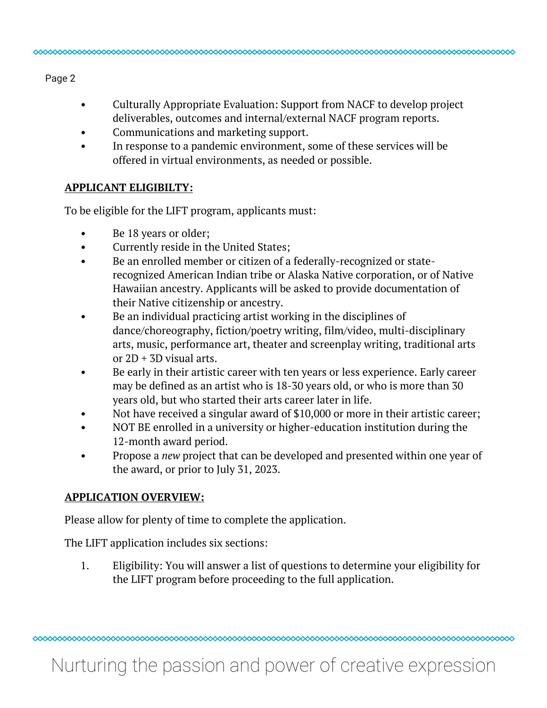Page 2

- Culturally Appropriate Evaluation: Support from NACF to develop project deliverables, outcomes and internal/external NACF program reports.
- Communications and marketing support.
- In response to a pandemic environment, some of these services will be offered in virtual environments, as needed or possible.

#### **APPLICANT ELIGIBILTY:**

To be eligible for the LIFT program, applicants must:

- Be 18 years or older;
- Currently reside in the United States;
- Be an enrolled member or citizen of a federally-recognized or staterecognized American Indian tribe or Alaska Native corporation, or of Native Hawaiian ancestry. Applicants will be asked to provide documentation of their Native citizenship or ancestry.
- Be an individual practicing artist working in the disciplines of dance/choreography, fiction/poetry writing, film/video, multi-disciplinary arts, music, performance art, theater and screenplay writing, traditional arts or  $2D + 3D$  visual arts.
- Be early in their artistic career with ten years or less experience. Early career may be defined as an artist who is 18-30 years old, or who is more than 30 years old, but who started their arts career later in life.
- Not have received a singular award of \$10,000 or more in their artistic career;
- NOT BE enrolled in a university or higher-education institution during the 12-month award period.
- Propose a *new* project that can be developed and presented within one year of the award, or prior to July 31, 2023.

#### **APPLICATION OVERVIEW:**

Please allow for plenty of time to complete the application.

The LIFT application includes six sections:

1. Eligibility: You will answer a list of questions to determine your eligibility for the LIFT program before proceeding to the full application.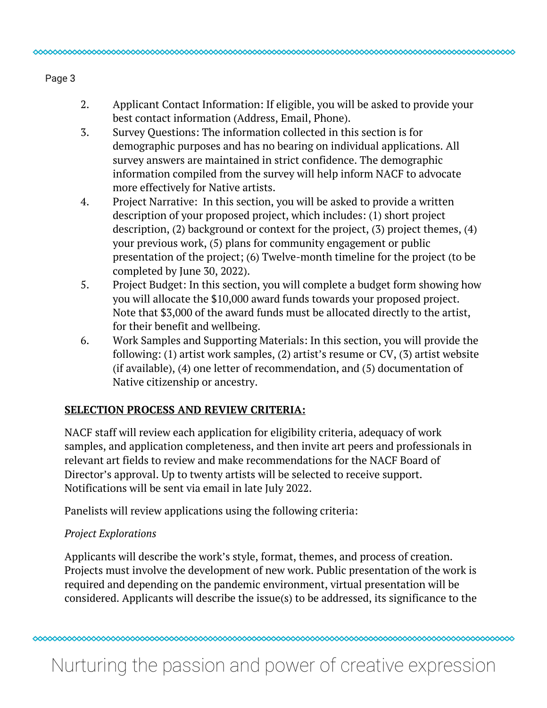## 2. Applicant Contact Information: If eligible, you will be asked to provide your best contact information (Address, Email, Phone).

- 3. Survey Questions: The information collected in this section is for demographic purposes and has no bearing on individual applications. All survey answers are maintained in strict confidence. The demographic information compiled from the survey will help inform NACF to advocate more effectively for Native artists.
- 4. Project Narrative: In this section, you will be asked to provide a written description of your proposed project, which includes: (1) short project description, (2) background or context for the project, (3) project themes, (4) your previous work, (5) plans for community engagement or public presentation of the project; (6) Twelve-month timeline for the project (to be completed by June 30, 2022).
- 5. Project Budget: In this section, you will complete a budget form showing how you will allocate the \$10,000 award funds towards your proposed project. Note that \$3,000 of the award funds must be allocated directly to the artist, for their benefit and wellbeing.
- 6. Work Samples and Supporting Materials: In this section, you will provide the following: (1) artist work samples, (2) artist's resume or CV, (3) artist website (if available), (4) one letter of recommendation, and (5) documentation of Native citizenship or ancestry.

# **SELECTION PROCESS AND REVIEW CRITERIA:**

NACF staff will review each application for eligibility criteria, adequacy of work samples, and application completeness, and then invite art peers and professionals in relevant art fields to review and make recommendations for the NACF Board of Director's approval. Up to twenty artists will be selected to receive support. Notifications will be sent via email in late July 2022.

Panelists will review applications using the following criteria:

# *Project Explorations*

Applicants will describe the work's style, format, themes, and process of creation. Projects must involve the development of new work. Public presentation of the work is required and depending on the pandemic environment, virtual presentation will be considered. Applicants will describe the issue(s) to be addressed, its significance to the

# Nurturing the passion and power of creative expression

Page 3

0000000000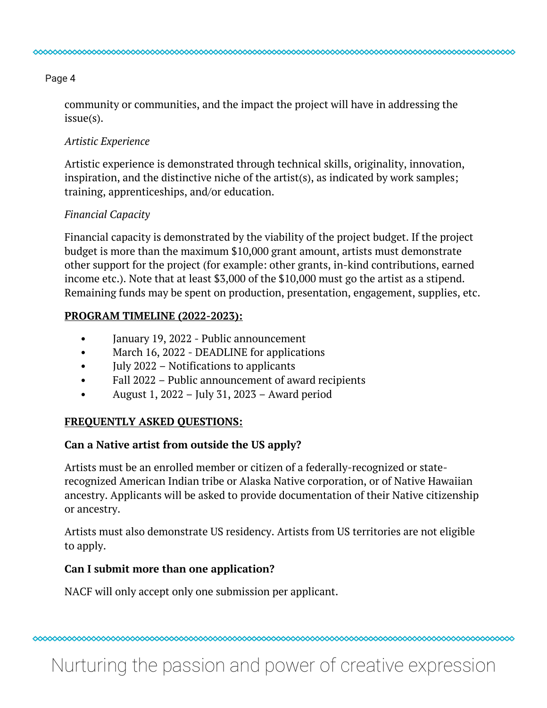Page 4

00000000000

community or communities, and the impact the project will have in addressing the issue(s).

### *Artistic Experience*

Artistic experience is demonstrated through technical skills, originality, innovation, inspiration, and the distinctive niche of the artist(s), as indicated by work samples; training, apprenticeships, and/or education.

### *Financial Capacity*

Financial capacity is demonstrated by the viability of the project budget. If the project budget is more than the maximum \$10,000 grant amount, artists must demonstrate other support for the project (for example: other grants, in-kind contributions, earned income etc.). Note that at least \$3,000 of the \$10,000 must go the artist as a stipend. Remaining funds may be spent on production, presentation, engagement, supplies, etc.

## **PROGRAM TIMELINE (2022-2023):**

- January 19, 2022 Public announcement
- March 16, 2022 DEADLINE for applications
- **July 2022 Notifications to applicants**
- Fall 2022 Public announcement of award recipients
- August 1, 2022 July 31, 2023 Award period

## **FREQUENTLY ASKED QUESTIONS:**

# **Can a Native artist from outside the US apply?**

Artists must be an enrolled member or citizen of a federally-recognized or staterecognized American Indian tribe or Alaska Native corporation, or of Native Hawaiian ancestry. Applicants will be asked to provide documentation of their Native citizenship or ancestry.

Artists must also demonstrate US residency. Artists from US territories are not eligible to apply.

## **Can I submit more than one application?**

NACF will only accept only one submission per applicant.